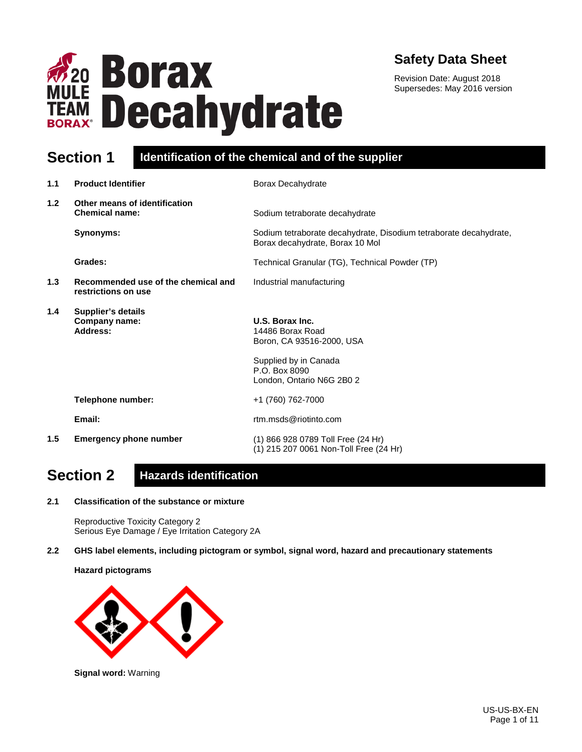

## **Safety Data Sheet**

Revision Date: August 2018 Supersedes: May 2016 version

### **Section 1 Identification of the chemical and of the supplier**

| 1.1           | <b>Product Identifier</b>                                  | Borax Decahydrate                                                                                    |
|---------------|------------------------------------------------------------|------------------------------------------------------------------------------------------------------|
| 1.2           | Other means of identification<br><b>Chemical name:</b>     | Sodium tetraborate decahydrate                                                                       |
|               | Synonyms:                                                  | Sodium tetraborate decahydrate, Disodium tetraborate decahydrate,<br>Borax decahydrate, Borax 10 Mol |
|               | Grades:                                                    | Technical Granular (TG), Technical Powder (TP)                                                       |
| 1.3           | Recommended use of the chemical and<br>restrictions on use | Industrial manufacturing                                                                             |
| 1.4           | <b>Supplier's details</b><br>Company name:<br>Address:     | U.S. Borax Inc.<br>14486 Borax Road<br>Boron, CA 93516-2000, USA<br>Supplied by in Canada            |
|               |                                                            | P.O. Box 8090<br>London, Ontario N6G 2B0 2                                                           |
|               | Telephone number:                                          | +1 (760) 762-7000                                                                                    |
|               | Email:                                                     | rtm.msds@riotinto.com                                                                                |
| $1.5^{\circ}$ | <b>Emergency phone number</b>                              | (1) 866 928 0789 Toll Free (24 Hr)<br>(1) 215 207 0061 Non-Toll Free (24 Hr)                         |

## **Section 2 Hazards identification**

**2.1 Classification of the substance or mixture**

Reproductive Toxicity Category 2 Serious Eye Damage / Eye Irritation Category 2A

**2.2 GHS label elements, including pictogram or symbol, signal word, hazard and precautionary statements** 

**Hazard pictograms**



**Signal word:** Warning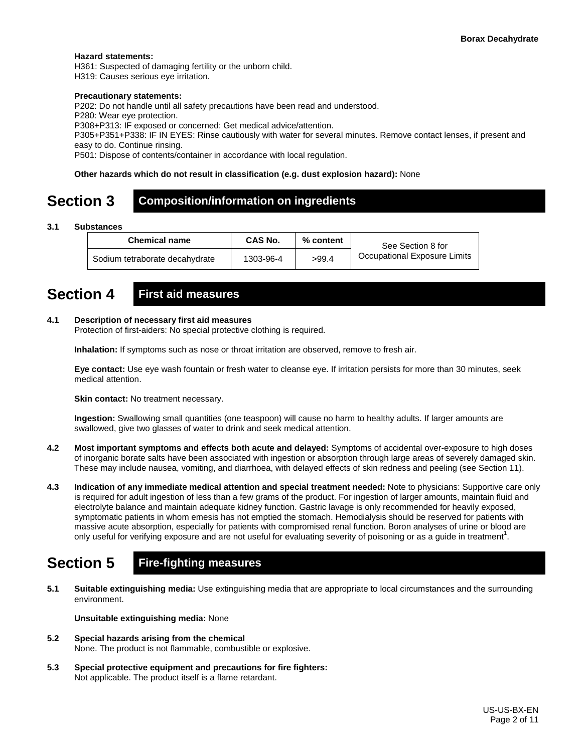#### **Hazard statements:**

H361: Suspected of damaging fertility or the unborn child.

H319: Causes serious eye irritation.

#### **Precautionary statements:**

P202: Do not handle until all safety precautions have been read and understood.

P280: Wear eye protection.

P308+P313: IF exposed or concerned: Get medical advice/attention.

P305+P351+P338: IF IN EYES: Rinse cautiously with water for several minutes. Remove contact lenses, if present and easy to do. Continue rinsing.

P501: Dispose of contents/container in accordance with local regulation.

#### **Other hazards which do not result in classification (e.g. dust explosion hazard):** None

### **Section 3 Composition/information on ingredients**

#### **3.1 Substances**

| <b>Chemical name</b>           | CAS No.   | $\%$ content | See Section 8 for            |
|--------------------------------|-----------|--------------|------------------------------|
| Sodium tetraborate decahydrate | 1303-96-4 | >99.4        | Occupational Exposure Limits |

### **Section 4 First aid measures**

#### **4.1 Description of necessary first aid measures**

Protection of first-aiders: No special protective clothing is required.

**Inhalation:** If symptoms such as nose or throat irritation are observed, remove to fresh air.

**Eye contact:** Use eye wash fountain or fresh water to cleanse eye. If irritation persists for more than 30 minutes, seek medical attention.

**Skin contact:** No treatment necessary.

**Ingestion:** Swallowing small quantities (one teaspoon) will cause no harm to healthy adults. If larger amounts are swallowed, give two glasses of water to drink and seek medical attention.

- **4.2 Most important symptoms and effects both acute and delayed:** Symptoms of accidental over-exposure to high doses of inorganic borate salts have been associated with ingestion or absorption through large areas of severely damaged skin. These may include nausea, vomiting, and diarrhoea, with delayed effects of skin redness and peeling (see Section 11).
- **4.3 Indication of any immediate medical attention and special treatment needed:** Note to physicians: Supportive care only is required for adult ingestion of less than a few grams of the product. For ingestion of larger amounts, maintain fluid and electrolyte balance and maintain adequate kidney function. Gastric lavage is only recommended for heavily exposed, symptomatic patients in whom emesis has not emptied the stomach. Hemodialysis should be reserved for patients with massive acute absorption, especially for patients with compromised renal function. Boron analyses of urine or blood are only useful for verifying exposure and are not useful for evaluating severity of poisoning or as a guide in treatment<sup>1</sup>.

## **Section 5 Fire-fighting measures**

**5.1 Suitable extinguishing media:** Use extinguishing media that are appropriate to local circumstances and the surrounding environment.

**Unsuitable extinguishing media:** None

- **5.2 Special hazards arising from the chemical** None. The product is not flammable, combustible or explosive.
- **5.3 Special protective equipment and precautions for fire fighters:**  Not applicable. The product itself is a flame retardant.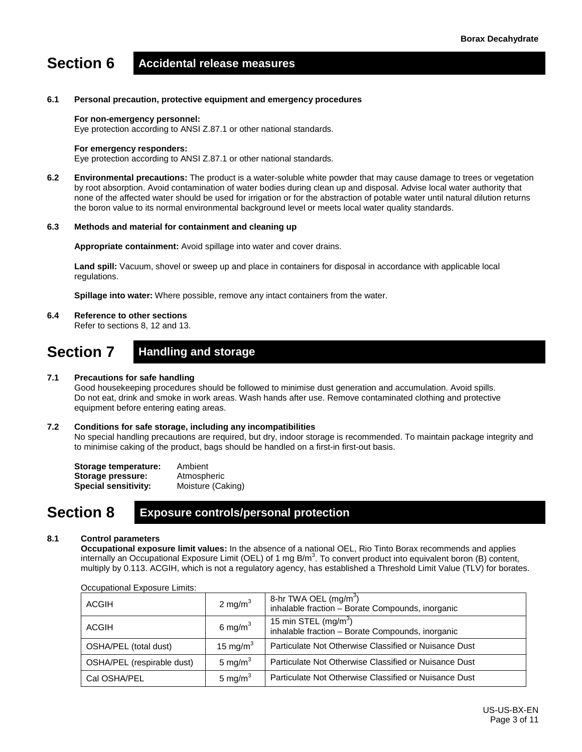# **Section 6 Accidental release measures**

#### **6.1 Personal precaution, protective equipment and emergency procedures**

#### **For non-emergency personnel:**

Eye protection according to ANSI Z.87.1 or other national standards.

#### **For emergency responders:**

Eye protection according to ANSI Z.87.1 or other national standards.

**6.2 Environmental precautions:** The product is a water-soluble white powder that may cause damage to trees or vegetation by root absorption. Avoid contamination of water bodies during clean up and disposal. Advise local water authority that none of the affected water should be used for irrigation or for the abstraction of potable water until natural dilution returns the boron value to its normal environmental background level or meets local water quality standards.

#### **6.3 Methods and material for containment and cleaning up**

**Appropriate containment:** Avoid spillage into water and cover drains.

**Land spill:** Vacuum, shovel or sweep up and place in containers for disposal in accordance with applicable local regulations.

**Spillage into water:** Where possible, remove any intact containers from the water.

#### **6.4 Reference to other sections**

Refer to sections 8, 12 and 13.

### **Section 7 Handling and storage**

#### **7.1 Precautions for safe handling**

Good housekeeping procedures should be followed to minimise dust generation and accumulation. Avoid spills. Do not eat, drink and smoke in work areas. Wash hands after use. Remove contaminated clothing and protective equipment before entering eating areas.

#### **7.2 Conditions for safe storage, including any incompatibilities**

No special handling precautions are required, but dry, indoor storage is recommended. To maintain package integrity and to minimise caking of the product, bags should be handled on a first-in first-out basis.

| Storage temperature:        | Ambient           |
|-----------------------------|-------------------|
| Storage pressure:           | Atmospheric       |
| <b>Special sensitivity:</b> | Moisture (Caking) |

### **Section 8 Exposure controls/personal protection**

#### **8.1 Control parameters**

**Occupational exposure limit values:** In the absence of a national OEL, Rio Tinto Borax recommends and applies internally an Occupational Exposure Limit (OEL) of 1 mg B/m<sup>3</sup>. To convert product into equivalent boron (B) content, multiply by 0.113. ACGIH, which is not a regulatory agency, has established a Threshold Limit Value (TLV) for borates.

| ACGIH                      | 2 mg/m $3$   | 8-hr TWA OEL (mg/m <sup>3</sup> )<br>inhalable fraction - Borate Compounds, inorganic |
|----------------------------|--------------|---------------------------------------------------------------------------------------|
| ACGIH                      | 6 mg/m $3$   | 15 min STEL $(mg/m3)$<br>inhalable fraction - Borate Compounds, inorganic             |
| OSHA/PEL (total dust)      | 15 mg/m $^3$ | Particulate Not Otherwise Classified or Nuisance Dust                                 |
| OSHA/PEL (respirable dust) | 5 mg/ $m3$   | Particulate Not Otherwise Classified or Nuisance Dust                                 |
| Cal OSHA/PEL               | 5 mg/m $3$   | Particulate Not Otherwise Classified or Nuisance Dust                                 |

#### Occupational Exposure Limits: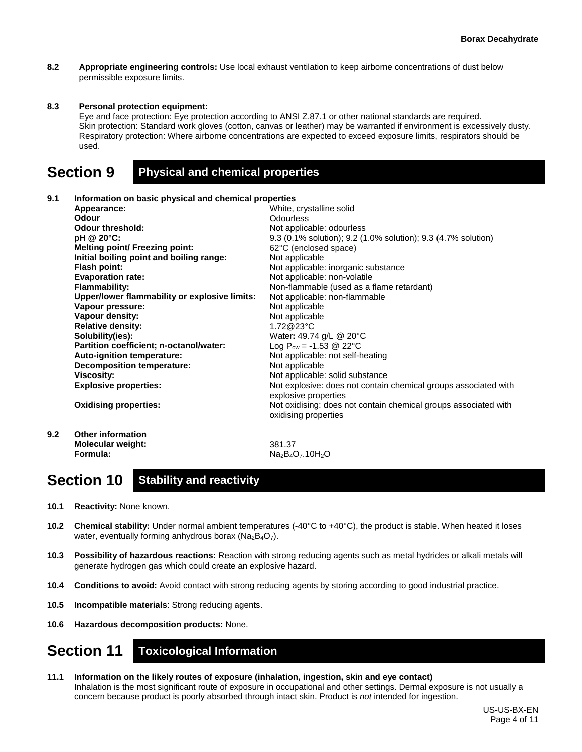**8.2 Appropriate engineering controls:** Use local exhaust ventilation to keep airborne concentrations of dust below permissible exposure limits.

#### **8.3 Personal protection equipment:**

Eye and face protection: Eye protection according to ANSI Z.87.1 or other national standards are required. Skin protection: Standard work gloves (cotton, canvas or leather) may be warranted if environment is excessively dusty. Respiratory protection: Where airborne concentrations are expected to exceed exposure limits, respirators should be used.

### **Section 9 Physical and chemical properties**

#### **9.1 Information on basic physical and chemical properties**

|     | Appearance:                                   | White, crystalline solid                                                                |
|-----|-----------------------------------------------|-----------------------------------------------------------------------------------------|
|     | Odour                                         | Odourless                                                                               |
|     | <b>Odour threshold:</b>                       | Not applicable: odourless                                                               |
|     | pH @ 20°C:                                    | 9.3 (0.1% solution); 9.2 (1.0% solution); 9.3 (4.7% solution)                           |
|     | <b>Melting point/ Freezing point:</b>         | 62°C (enclosed space)                                                                   |
|     | Initial boiling point and boiling range:      | Not applicable                                                                          |
|     | Flash point:                                  | Not applicable: inorganic substance                                                     |
|     | <b>Evaporation rate:</b>                      | Not applicable: non-volatile                                                            |
|     | <b>Flammability:</b>                          | Non-flammable (used as a flame retardant)                                               |
|     | Upper/lower flammability or explosive limits: | Not applicable: non-flammable                                                           |
|     | Vapour pressure:                              | Not applicable                                                                          |
|     | Vapour density:                               | Not applicable                                                                          |
|     | <b>Relative density:</b>                      | 1.72@23°C                                                                               |
|     | Solubility(ies):                              | Water: 49.74 g/L @ 20°C                                                                 |
|     | Partition coefficient; n-octanol/water:       | Log $P_{ow} = -1.53$ @ 22°C                                                             |
|     | Auto-ignition temperature:                    | Not applicable: not self-heating                                                        |
|     | <b>Decomposition temperature:</b>             | Not applicable                                                                          |
|     | <b>Viscosity:</b>                             | Not applicable: solid substance                                                         |
|     | <b>Explosive properties:</b>                  | Not explosive: does not contain chemical groups associated with<br>explosive properties |
|     | <b>Oxidising properties:</b>                  | Not oxidising: does not contain chemical groups associated with<br>oxidising properties |
| 9.2 | <b>Other information</b>                      |                                                                                         |
|     | Molecular weight:                             | 381.37                                                                                  |

### **Section 10 Stability and reactivity**

**10.1 Reactivity:** None known.

**Formula:**

**10.2 Chemical stability:** Under normal ambient temperatures (-40°C to +40°C), the product is stable. When heated it loses water, eventually forming anhydrous borax ( $Na<sub>2</sub>B<sub>4</sub>O<sub>7</sub>$ ).

Na<sub>2</sub>B<sub>4</sub>O<sub>7</sub>.10H<sub>2</sub>O

- **10.3 Possibility of hazardous reactions:** Reaction with strong reducing agents such as metal hydrides or alkali metals will generate hydrogen gas which could create an explosive hazard.
- **10.4 Conditions to avoid:** Avoid contact with strong reducing agents by storing according to good industrial practice.
- **10.5 Incompatible materials**: Strong reducing agents.
- **10.6 Hazardous decomposition products:** None.

### **Section 11 Toxicological Information**

**11.1 Information on the likely routes of exposure (inhalation, ingestion, skin and eye contact)** Inhalation is the most significant route of exposure in occupational and other settings. Dermal exposure is not usually a concern because product is poorly absorbed through intact skin. Product is *not* intended for ingestion.

> US-US-BX-EN Page 4 of 11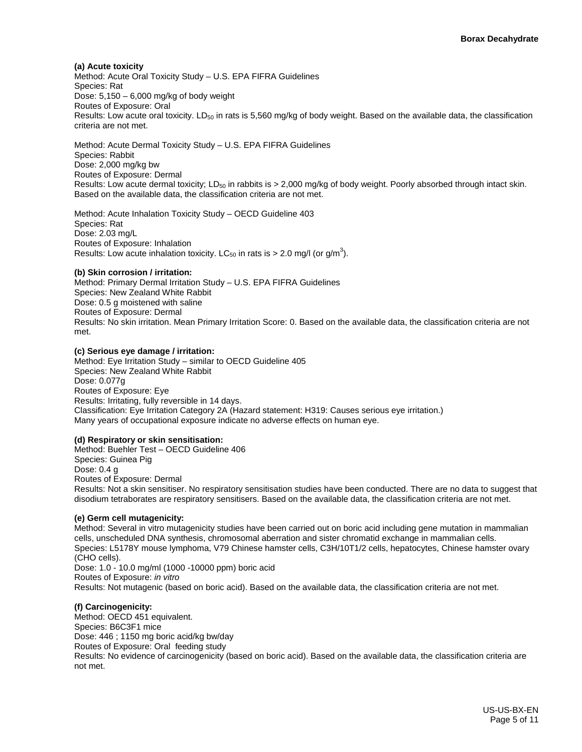#### **(a) Acute toxicity**

Method: Acute Oral Toxicity Study – U.S. EPA FIFRA Guidelines Species: Rat Dose:  $5,150 - 6,000$  mg/kg of body weight Routes of Exposure: Oral Results: Low acute oral toxicity.  $LD_{50}$  in rats is 5,560 mg/kg of body weight. Based on the available data, the classification criteria are not met.

Method: Acute Dermal Toxicity Study – U.S. EPA FIFRA Guidelines Species: Rabbit Dose: 2,000 mg/kg bw Routes of Exposure: Dermal Results: Low acute dermal toxicity; LD<sub>50</sub> in rabbits is  $> 2,000$  mg/kg of body weight. Poorly absorbed through intact skin. Based on the available data, the classification criteria are not met.

Method: Acute Inhalation Toxicity Study – OECD Guideline 403 Species: Rat Dose: 2.03 mg/L Routes of Exposure: Inhalation Results: Low acute inhalation toxicity. LC $_{50}$  in rats is > 2.0 mg/l (or g/m<sup>3</sup>).

#### **(b) Skin corrosion / irritation:**

Method: Primary Dermal Irritation Study – U.S. EPA FIFRA Guidelines Species: New Zealand White Rabbit Dose: 0.5 g moistened with saline Routes of Exposure: Dermal Results: No skin irritation. Mean Primary Irritation Score: 0. Based on the available data, the classification criteria are not met.

#### **(c) Serious eye damage / irritation:**

Method: Eye Irritation Study – similar to OECD Guideline 405 Species: New Zealand White Rabbit Dose: 0.077g Routes of Exposure: Eye Results: Irritating, fully reversible in 14 days. Classification: Eye Irritation Category 2A (Hazard statement: H319: Causes serious eye irritation.) Many years of occupational exposure indicate no adverse effects on human eye.

#### **(d) Respiratory or skin sensitisation:**

Method: Buehler Test – OECD Guideline 406 Species: Guinea Pig Dose: 0.4 g Routes of Exposure: Dermal Results: Not a skin sensitiser. No respiratory sensitisation studies have been conducted. There are no data to suggest that disodium tetraborates are respiratory sensitisers. Based on the available data, the classification criteria are not met.

#### **(e) Germ cell mutagenicity:**

Method: Several in vitro mutagenicity studies have been carried out on boric acid including gene mutation in mammalian cells, unscheduled DNA synthesis, chromosomal aberration and sister chromatid exchange in mammalian cells. Species: L5178Y mouse lymphoma, V79 Chinese hamster cells, C3H/10T1/2 cells, hepatocytes, Chinese hamster ovary (CHO cells). Dose: 1.0 - 10.0 mg/ml (1000 -10000 ppm) boric acid Routes of Exposure: *in vitro* Results: Not mutagenic (based on boric acid). Based on the available data, the classification criteria are not met.

#### **(f) Carcinogenicity:**

Method: OECD 451 equivalent. Species: B6C3F1 mice Dose: 446 ; 1150 mg boric acid/kg bw/day Routes of Exposure: Oral feeding study Results: No evidence of carcinogenicity (based on boric acid). Based on the available data, the classification criteria are not met.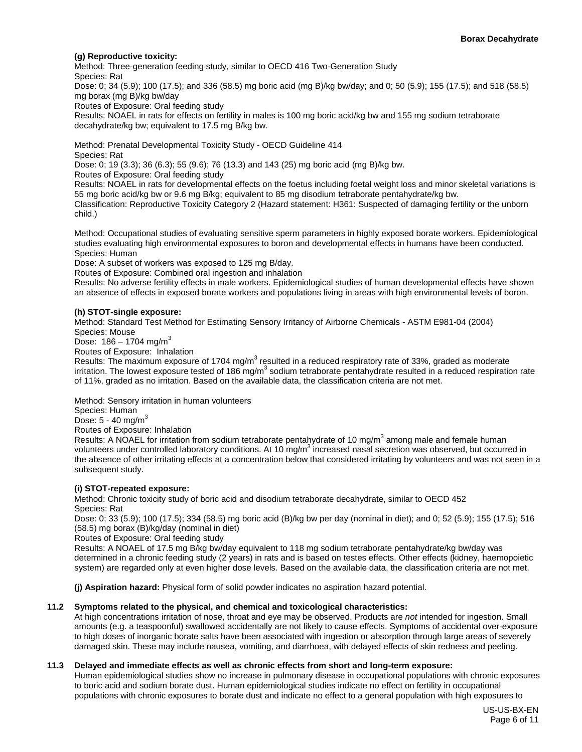#### **(g) Reproductive toxicity:**

Method: Three-generation feeding study, similar to OECD 416 Two-Generation Study Species: Rat Dose: 0; 34 (5.9); 100 (17.5); and 336 (58.5) mg boric acid (mg B)/kg bw/day; and 0; 50 (5.9); 155 (17.5); and 518 (58.5) mg borax (mg B)/kg bw/day Routes of Exposure: Oral feeding study Results: NOAEL in rats for effects on fertility in males is 100 mg boric acid/kg bw and 155 mg sodium tetraborate decahydrate/kg bw; equivalent to 17.5 mg B/kg bw.

Method: Prenatal Developmental Toxicity Study - OECD Guideline 414 Species: Rat

Dose: 0; 19 (3.3); 36 (6.3); 55 (9.6); 76 (13.3) and 143 (25) mg boric acid (mg B)/kg bw.

Routes of Exposure: Oral feeding study

Results: NOAEL in rats for developmental effects on the foetus including foetal weight loss and minor skeletal variations is 55 mg boric acid/kg bw or 9.6 mg B/kg; equivalent to 85 mg disodium tetraborate pentahydrate/kg bw.

Classification: Reproductive Toxicity Category 2 (Hazard statement: H361: Suspected of damaging fertility or the unborn child.)

Method: Occupational studies of evaluating sensitive sperm parameters in highly exposed borate workers. Epidemiological studies evaluating high environmental exposures to boron and developmental effects in humans have been conducted. Species: Human

Dose: A subset of workers was exposed to 125 mg B/day.

Routes of Exposure: Combined oral ingestion and inhalation

Results: No adverse fertility effects in male workers. Epidemiological studies of human developmental effects have shown an absence of effects in exposed borate workers and populations living in areas with high environmental levels of boron.

#### **(h) STOT-single exposure:**

Method: Standard Test Method for Estimating Sensory Irritancy of Airborne Chemicals - ASTM E981-04 (2004) Species: Mouse

Dose:  $186 - 1704$  mg/m<sup>3</sup>

Routes of Exposure: Inhalation

Results: The maximum exposure of 1704 mg/m<sup>3</sup> resulted in a reduced respiratory rate of 33%, graded as moderate irritation. The lowest exposure tested of 186 mg/m<sup>3</sup> sodium tetraborate pentahydrate resulted in a reduced respiration rate of 11%, graded as no irritation. Based on the available data, the classification criteria are not met.

Method: Sensory irritation in human volunteers

Species: Human

Dose:  $5 - 40$  mg/m<sup>3</sup>

Routes of Exposure: Inhalation

Results: A NOAEL for irritation from sodium tetraborate pentahydrate of 10 mg/m<sup>3</sup> among male and female human volunteers under controlled laboratory conditions. At 10  $mg/m<sup>3</sup>$  increased nasal secretion was observed, but occurred in the absence of other irritating effects at a concentration below that considered irritating by volunteers and was not seen in a subsequent study.

#### **(i) STOT-repeated exposure:**

Method: Chronic toxicity study of boric acid and disodium tetraborate decahydrate, similar to OECD 452 Species: Rat

Dose: 0; 33 (5.9); 100 (17.5); 334 (58.5) mg boric acid (B)/kg bw per day (nominal in diet); and 0; 52 (5.9); 155 (17.5); 516 (58.5) mg borax (B)/kg/day (nominal in diet)

Routes of Exposure: Oral feeding study

Results: A NOAEL of 17.5 mg B/kg bw/day equivalent to 118 mg sodium tetraborate pentahydrate/kg bw/day was determined in a chronic feeding study (2 years) in rats and is based on testes effects. Other effects (kidney, haemopoietic system) are regarded only at even higher dose levels. Based on the available data, the classification criteria are not met.

**(j) Aspiration hazard:** Physical form of solid powder indicates no aspiration hazard potential.

#### **11.2 Symptoms related to the physical, and chemical and toxicological characteristics:**

At high concentrations irritation of nose, throat and eye may be observed. Products are *not* intended for ingestion. Small amounts (e.g. a teaspoonful) swallowed accidentally are not likely to cause effects. Symptoms of accidental over-exposure to high doses of inorganic borate salts have been associated with ingestion or absorption through large areas of severely damaged skin. These may include nausea, vomiting, and diarrhoea, with delayed effects of skin redness and peeling.

#### **11.3 Delayed and immediate effects as well as chronic effects from short and long-term exposure:**

Human epidemiological studies show no increase in pulmonary disease in occupational populations with chronic exposures to boric acid and sodium borate dust. Human epidemiological studies indicate no effect on fertility in occupational populations with chronic exposures to borate dust and indicate no effect to a general population with high exposures to

> US-US-BX-EN Page 6 of 11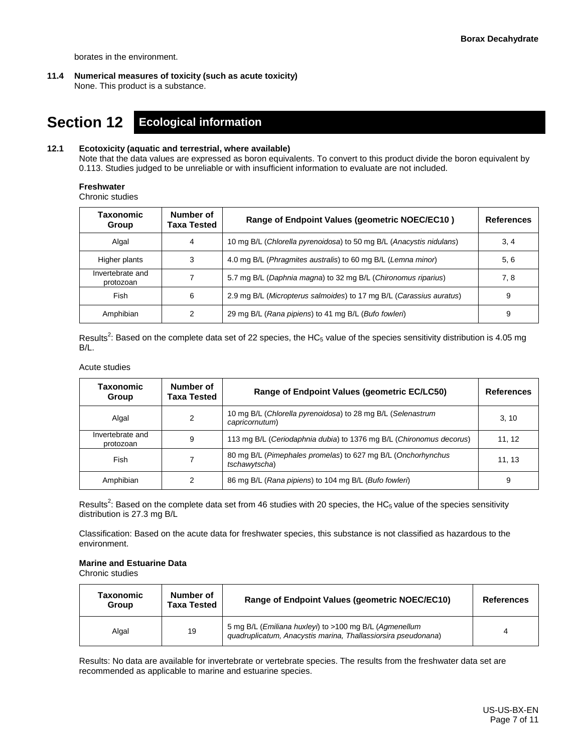borates in the environment.

**11.4 Numerical measures of toxicity (such as acute toxicity)** None. This product is a substance.

### **Section 12 Ecological information**

#### **12.1 Ecotoxicity (aquatic and terrestrial, where available)**

Note that the data values are expressed as boron equivalents. To convert to this product divide the boron equivalent by 0.113. Studies judged to be unreliable or with insufficient information to evaluate are not included.

#### **Freshwater**

Chronic studies

| Taxonomic<br>Group            | Number of<br><b>Taxa Tested</b> | Range of Endpoint Values (geometric NOEC/EC10)                      | <b>References</b> |
|-------------------------------|---------------------------------|---------------------------------------------------------------------|-------------------|
| Algal                         |                                 | 10 mg B/L (Chlorella pyrenoidosa) to 50 mg B/L (Anacystis nidulans) | 3, 4              |
| Higher plants                 |                                 | 4.0 mg B/L (Phragmites australis) to 60 mg B/L (Lemna minor)        | 5, 6              |
| Invertebrate and<br>protozoan |                                 | 5.7 mg B/L (Daphnia magna) to 32 mg B/L (Chironomus riparius)       | 7, 8              |
| Fish                          | 6                               | 2.9 mg B/L (Micropterus salmoides) to 17 mg B/L (Carassius auratus) | 9                 |
| Amphibian                     |                                 | 29 mg B/L (Rana pipiens) to 41 mg B/L (Bufo fowleri)                | 9                 |

Results<sup>2</sup>: Based on the complete data set of 22 species, the HC<sub>5</sub> value of the species sensitivity distribution is 4.05 mg B/L.

#### Acute studies

| Taxonomic<br>Group            | Number of<br>Taxa Tested | Range of Endpoint Values (geometric EC/LC50)                                  | <b>References</b> |
|-------------------------------|--------------------------|-------------------------------------------------------------------------------|-------------------|
| Algal                         | 2                        | 10 mg B/L (Chlorella pyrenoidosa) to 28 mg B/L (Selenastrum<br>capricornutum) | 3, 10             |
| Invertebrate and<br>protozoan | 9                        | 113 mg B/L (Ceriodaphnia dubia) to 1376 mg B/L (Chironomus decorus)           | 11, 12            |
| Fish                          |                          | 80 mg B/L (Pimephales promelas) to 627 mg B/L (Onchorhynchus<br>tschawytscha) | 11, 13            |
| Amphibian                     |                          | 86 mg B/L (Rana pipiens) to 104 mg B/L (Bufo fowleri)                         | 9                 |

Results<sup>2</sup>: Based on the complete data set from 46 studies with 20 species, the HC<sub>5</sub> value of the species sensitivity distribution is 27.3 mg B/L

Classification: Based on the acute data for freshwater species, this substance is not classified as hazardous to the environment.

#### **Marine and Estuarine Data**

Chronic studies

| Taxonomic<br>Group | Number of<br><b>Taxa Tested</b> | Range of Endpoint Values (geometric NOEC/EC10)                                                                          | <b>References</b> |
|--------------------|---------------------------------|-------------------------------------------------------------------------------------------------------------------------|-------------------|
| Algal              | 19                              | 5 mg B/L (Emiliana huxleyi) to >100 mg B/L (Agmenellum<br>guadruplicatum, Anacystis marina, Thallassiorsira pseudonana) |                   |

Results: No data are available for invertebrate or vertebrate species. The results from the freshwater data set are recommended as applicable to marine and estuarine species.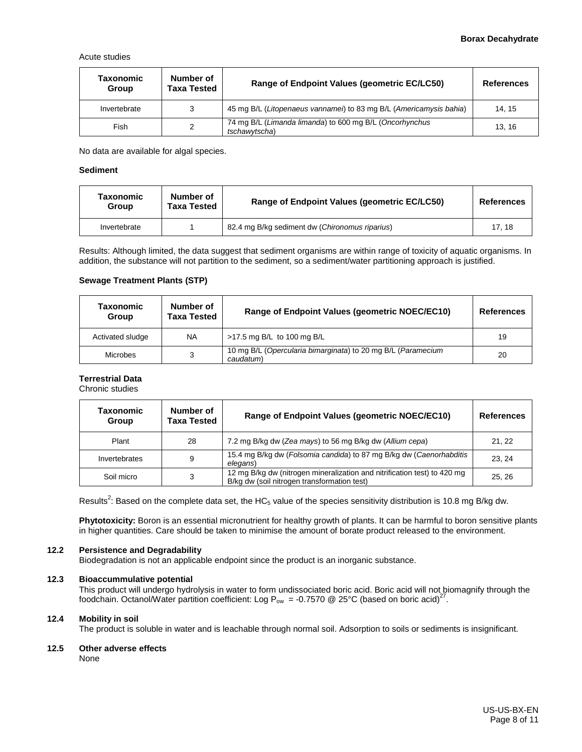Acute studies

| Taxonomic<br>Group | Number of<br><b>Taxa Tested</b> | Range of Endpoint Values (geometric EC/LC50)                             | <b>References</b> |
|--------------------|---------------------------------|--------------------------------------------------------------------------|-------------------|
| Invertebrate       | 3                               | 45 mg B/L (Litopenaeus vannamei) to 83 mg B/L (Americamysis bahia)       | 14.15             |
| Fish               | 2                               | 74 mg B/L (Limanda limanda) to 600 mg B/L (Oncorhynchus<br>tschawvtscha) | 13.16             |

No data are available for algal species.

#### **Sediment**

| Taxonomic<br>Group | Number of<br>Taxa Tested | Range of Endpoint Values (geometric EC/LC50)   | <b>References</b> |
|--------------------|--------------------------|------------------------------------------------|-------------------|
| Invertebrate       |                          | 82.4 mg B/kg sediment dw (Chironomus riparius) | 17.18             |

Results: Although limited, the data suggest that sediment organisms are within range of toxicity of aquatic organisms. In addition, the substance will not partition to the sediment, so a sediment/water partitioning approach is justified.

#### **Sewage Treatment Plants (STP)**

| Taxonomic<br>Group | Number of<br><b>Taxa Tested</b> | Range of Endpoint Values (geometric NOEC/EC10)                            | <b>References</b> |
|--------------------|---------------------------------|---------------------------------------------------------------------------|-------------------|
| Activated sludge   | <b>NA</b>                       | >17.5 mg B/L to 100 mg B/L                                                | 19                |
| <b>Microbes</b>    |                                 | 10 mg B/L (Opercularia bimarginata) to 20 mg B/L (Paramecium<br>caudatum) | 20                |

#### **Terrestrial Data**

Chronic studies

| Taxonomic<br>Group | Number of<br><b>Taxa Tested</b> | Range of Endpoint Values (geometric NOEC/EC10)                                                                          | <b>References</b> |
|--------------------|---------------------------------|-------------------------------------------------------------------------------------------------------------------------|-------------------|
| Plant              | 28                              | 7.2 mg B/kg dw (Zea mays) to 56 mg B/kg dw (Allium cepa)                                                                | 21.22             |
| Invertebrates      | 9                               | 15.4 mg B/kg dw (Folsomia candida) to 87 mg B/kg dw (Caenorhabditis<br>elegans)                                         | 23.24             |
| Soil micro         | 3                               | 12 mg B/kg dw (nitrogen mineralization and nitrification test) to 420 mg<br>B/kg dw (soil nitrogen transformation test) | 25.26             |

Results<sup>2</sup>: Based on the complete data set, the HC<sub>5</sub> value of the species sensitivity distribution is 10.8 mg B/kg dw.

**Phytotoxicity:** Boron is an essential micronutrient for healthy growth of plants. It can be harmful to boron sensitive plants in higher quantities. Care should be taken to minimise the amount of borate product released to the environment.

#### **12.2 Persistence and Degradability**

Biodegradation is not an applicable endpoint since the product is an inorganic substance.

#### **12.3 Bioaccummulative potential**

This product will undergo hydrolysis in water to form undissociated boric acid. Boric acid will not biomagnify through the foodchain. Octanol/Water partition coefficient: Log  $P_{ow} = -0.7570$  @ 25°C (based on boric acid)<sup>27</sup>.

#### **12.4 Mobility in soil**

The product is soluble in water and is leachable through normal soil. Adsorption to soils or sediments is insignificant.

#### **12.5 Other adverse effects**

None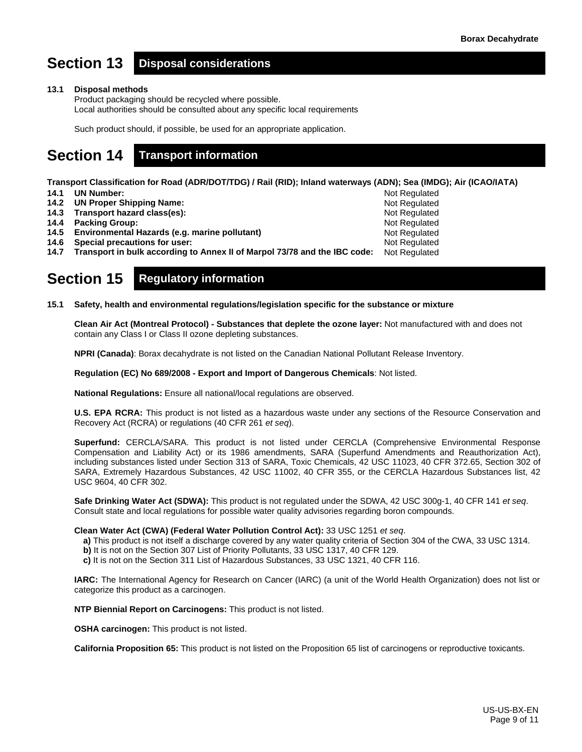Not Regulated Not Regulated Not Regulated Not Regulated Not Regulated

# **Section 13 Disposal considerations**

#### **13.1 Disposal methods**

Product packaging should be recycled where possible. Local authorities should be consulted about any specific local requirements

Such product should, if possible, be used for an appropriate application.

# **Section 14 Transport information**

**Transport Classification for Road (ADR/DOT/TDG) / Rail (RID); Inland waterways (ADN); Sea (IMDG); Air (ICAO/IATA)**

- **14.1 UN Number:**
- **14.2 UN Proper Shipping Name:**
- **14.3 Transport hazard class(es):**
- **14.4 Packing Group:**
- **14.5 Environmental Hazards (e.g. marine pollutant)**
- **14.6 Special precautions for user:**

**14.7 Transport in bulk according to Annex II of Marpol 73/78 and the IBC code:** Not Regulated Not Regulated

### **Section 15 Regulatory information**

**15.1 Safety, health and environmental regulations/legislation specific for the substance or mixture**

**Clean Air Act (Montreal Protocol) - Substances that deplete the ozone layer:** Not manufactured with and does not contain any Class I or Class II ozone depleting substances.

**NPRI (Canada)**: Borax decahydrate is not listed on the Canadian National Pollutant Release Inventory.

**Regulation (EC) No 689/2008 - Export and Import of Dangerous Chemicals**: Not listed.

**National Regulations:** Ensure all national/local regulations are observed.

**U.S. EPA RCRA:** This product is not listed as a hazardous waste under any sections of the Resource Conservation and Recovery Act (RCRA) or regulations (40 CFR 261 *et seq*).

**Superfund:** CERCLA/SARA. This product is not listed under CERCLA (Comprehensive Environmental Response Compensation and Liability Act) or its 1986 amendments, SARA (Superfund Amendments and Reauthorization Act), including substances listed under Section 313 of SARA, Toxic Chemicals, 42 USC 11023, 40 CFR 372.65, Section 302 of SARA, Extremely Hazardous Substances, 42 USC 11002, 40 CFR 355, or the CERCLA Hazardous Substances list, 42 USC 9604, 40 CFR 302.

**Safe Drinking Water Act (SDWA):** This product is not regulated under the SDWA, 42 USC 300g-1, 40 CFR 141 *et seq*. Consult state and local regulations for possible water quality advisories regarding boron compounds.

#### **Clean Water Act (CWA) (Federal Water Pollution Control Act):** 33 USC 1251 *et seq*.

- **a)** This product is not itself a discharge covered by any water quality criteria of Section 304 of the CWA, 33 USC 1314.
- **b)** It is not on the Section 307 List of Priority Pollutants, 33 USC 1317, 40 CFR 129.
- **c)** It is not on the Section 311 List of Hazardous Substances, 33 USC 1321, 40 CFR 116.

**IARC:** The International Agency for Research on Cancer (IARC) (a unit of the World Health Organization) does not list or categorize this product as a carcinogen.

**NTP Biennial Report on Carcinogens:** This product is not listed.

**OSHA carcinogen:** This product is not listed.

**California Proposition 65:** This product is not listed on the Proposition 65 list of carcinogens or reproductive toxicants.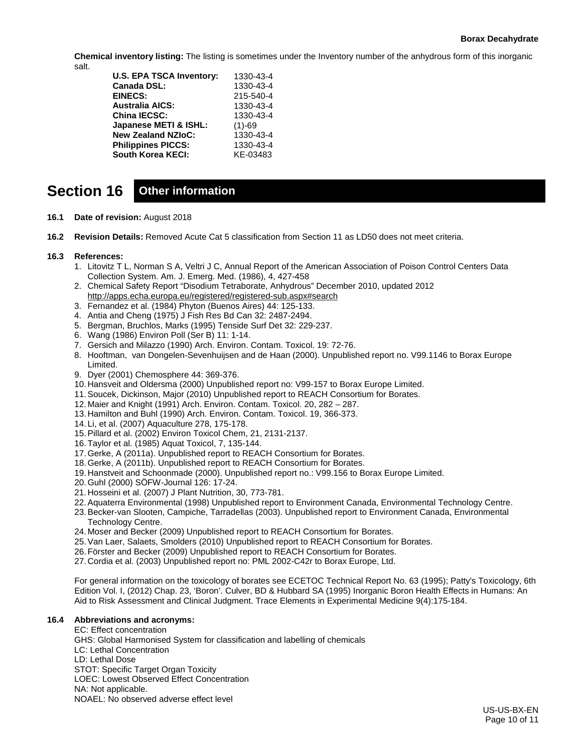#### **Borax Decahydrate**

**Chemical inventory listing:** The listing is sometimes under the Inventory number of the anhydrous form of this inorganic salt.

| 1330-43-4 |
|-----------|
| 1330-43-4 |
| 215-540-4 |
| 1330-43-4 |
| 1330-43-4 |
| $(1)-69$  |
| 1330-43-4 |
| 1330-43-4 |
| KE-03483  |
|           |

# **Section 16 Other information**

- **16.1 Date of revision:** August 2018
- **16.2 Revision Details:** Removed Acute Cat 5 classification from Section 11 as LD50 does not meet criteria.

#### **16.3 References:**

- 1. Litovitz T L, Norman S A, Veltri J C, Annual Report of the American Association of Poison Control Centers Data Collection System. Am. J. Emerg. Med. (1986), 4, 427-458
- 2. Chemical Safety Report "Disodium Tetraborate, Anhydrous" December 2010, updated 2012 <http://apps.echa.europa.eu/registered/registered-sub.aspx#search>
- 3. Fernandez et al. (1984) Phyton (Buenos Aires) 44: 125-133.
- 4. Antia and Cheng (1975) J Fish Res Bd Can 32: 2487-2494.
- 5. Bergman, Bruchlos, Marks (1995) Tenside Surf Det 32: 229-237.
- 6. Wang (1986) Environ Poll (Ser B) 11: 1-14.
- 7. Gersich and Milazzo (1990) Arch. Environ. Contam. Toxicol. 19: 72-76.
- 8. Hooftman, van Dongelen-Sevenhuijsen and de Haan (2000). Unpublished report no. V99.1146 to Borax Europe Limited.
- 9. Dyer (2001) Chemosphere 44: 369-376.
- 10. Hansveit and Oldersma (2000) Unpublished report no: V99-157 to Borax Europe Limited.
- 11.Soucek, Dickinson, Major (2010) Unpublished report to REACH Consortium for Borates.
- 12. Maier and Knight (1991) Arch. Environ. Contam. Toxicol. 20, 282 287.
- 13. Hamilton and Buhl (1990) Arch. Environ. Contam. Toxicol. 19, 366-373.
- 14. Li, et al. (2007) Aquaculture 278, 175-178.
- 15.Pillard et al. (2002) Environ Toxicol Chem, 21, 2131-2137.
- 16.Taylor et al. (1985) Aquat Toxicol, 7, 135-144.
- 17.Gerke, A (2011a). Unpublished report to REACH Consortium for Borates.
- 18.Gerke, A (2011b). Unpublished report to REACH Consortium for Borates.
- 19. Hanstveit and Schoonmade (2000). Unpublished report no.: V99.156 to Borax Europe Limited.
- 20.Guhl (2000) SÖFW-Journal 126: 17-24.
- 21. Hosseini et al. (2007) J Plant Nutrition, 30, 773-781.
- 22.Aquaterra Environmental (1998) Unpublished report to Environment Canada, Environmental Technology Centre.
- 23.Becker-van Slooten, Campiche, Tarradellas (2003). Unpublished report to Environment Canada, Environmental Technology Centre.
- 24. Moser and Becker (2009) Unpublished report to REACH Consortium for Borates.
- 25.Van Laer, Salaets, Smolders (2010) Unpublished report to REACH Consortium for Borates.
- 26.Förster and Becker (2009) Unpublished report to REACH Consortium for Borates.
- 27. Cordia et al. (2003) Unpublished report no: PML 2002-C42r to Borax Europe, Ltd.

For general information on the toxicology of borates see ECETOC Technical Report No. 63 (1995); Patty's Toxicology, 6th Edition Vol. I, (2012) Chap. 23, 'Boron'. Culver, BD & Hubbard SA (1995) Inorganic Boron Health Effects in Humans: An Aid to Risk Assessment and Clinical Judgment. Trace Elements in Experimental Medicine 9(4):175-184.

#### **16.4 Abbreviations and acronyms:**

EC: Effect concentration GHS: Global Harmonised System for classification and labelling of chemicals LC: Lethal Concentration LD: Lethal Dose STOT: Specific Target Organ Toxicity LOEC: Lowest Observed Effect Concentration NA: Not applicable. NOAEL: No observed adverse effect level